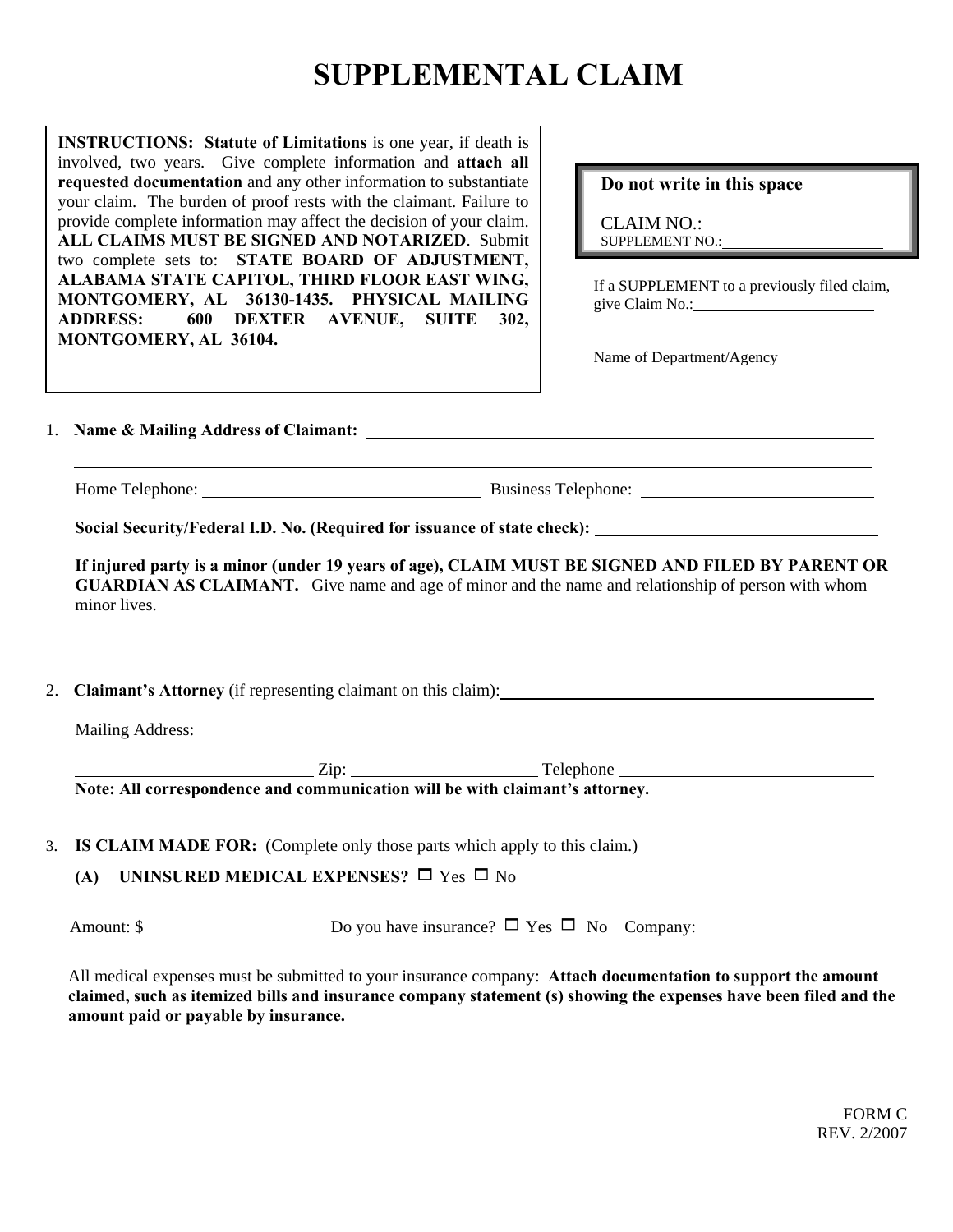## **SUPPLEMENTAL CLAIM**

 two complete sets to: **STATE BOARD OF ADJUSTMENT, MONTGOMERY, AL 36130-1435. PHYSICAL MAILING** and since Claim No.: **MONTGOMERY, AL 36104. INSTRUCTIONS:** Statute of Limitations is one year, if death is involved, two years. Give complete information and **attach all requested documentation** and any other information to substantiate your claim. The burden of proof rests with the claimant. Failure to provide complete information may affect the decision of your claim. **ALL CLAIMS MUST BE SIGNED AND NOTARIZED**. Submit **ALABAMA STATE CAPITOL, THIRD FLOOR EAST WING, ADDRESS: 600 DEXTER AVENUE, SUITE 302,** 

## **Do not write in this space**

CLAIM NO.: SUPPLEMENT NO.:

If a SUPPLEMENT to a previously filed claim,

Name of Department/Agency

1. **Name & Mailing Address of Claimant:** 

Home Telephone: Business Telephone:

 $\overline{a}$ 

 $\overline{a}$ 

**Social Security/Federal I.D. No. (Required for issuance of state check):** 

**If injured party is a minor (under 19 years of age), CLAIM MUST BE SIGNED AND FILED BY PARENT OR GUARDIAN AS CLAIMANT.** Give name and age of minor and the name and relationship of person with whom minor lives.

2. **Claimant's Attorney** (if representing claimant on this claim):

Mailing Address:

Zip: Telephone

**Note: All correspondence and communication will be with claimant's attorney.** 

3. **IS CLAIM MADE FOR:** (Complete only those parts which apply to this claim.)

**(A) UNINSURED MEDICAL EXPENSES?**  $\Box$  Yes  $\Box$  No

Amount:  $\oint$  Do you have insurance?  $\Box$  Yes  $\Box$  No Company:

All medical expenses must be submitted to your insurance company: **Attach documentation to support the amount claimed, such as itemized bills and insurance company statement (s) showing the expenses have been filed and the amount paid or payable by insurance.**